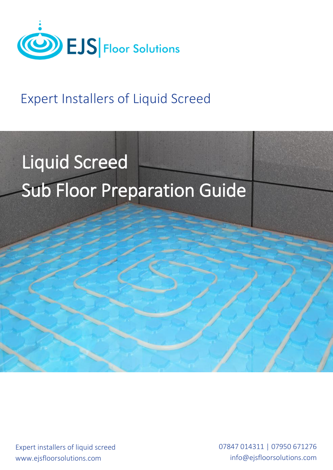

# Expert Installers of Liquid Screed

# Liquid Screed Sub Floor Preparation Guide

Expert installers of liquid screed www.ejsfloorsolutions.com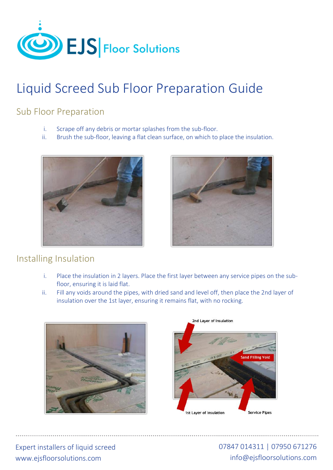

# Liquid Screed Sub Floor Preparation Guide

### Sub Floor Preparation

- i. Scrape off any debris or mortar splashes from the sub-floor.
- ii. Brush the sub-floor, leaving a flat clean surface, on which to place the insulation.





### Installing Insulation

- i. Place the insulation in 2 layers. Place the first layer between any service pipes on the subfloor, ensuring it is laid flat.
- ii. Fill any voids around the pipes, with dried sand and level off, then place the 2nd layer of insulation over the 1st layer, ensuring it remains flat, with no rocking.





Expert installers of liquid screed www.ejsfloorsolutions.com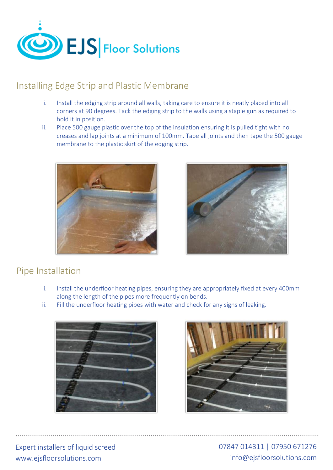

### Installing Edge Strip and Plastic Membrane

- i. Install the edging strip around all walls, taking care to ensure it is neatly placed into all corners at 90 degrees. Tack the edging strip to the walls using a staple gun as required to hold it in position.
- ii. Place 500 gauge plastic over the top of the insulation ensuring it is pulled tight with no creases and lap joints at a minimum of 100mm. Tape all joints and then tape the 500 gauge membrane to the plastic skirt of the edging strip.





### Pipe Installation

- i. Install the underfloor heating pipes, ensuring they are appropriately fixed at every 400mm along the length of the pipes more frequently on bends.
- ii. Fill the underfloor heating pipes with water and check for any signs of leaking.





Expert installers of liquid screed www.ejsfloorsolutions.com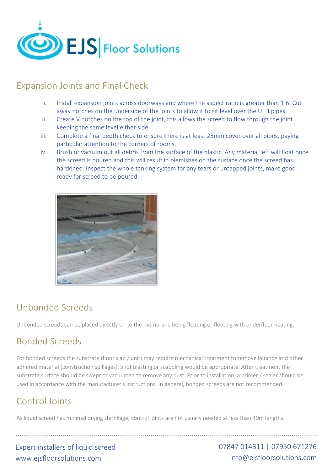

### Expansion Joints and Final Check

- i. Install expansion joints across doorways and where the aspect ratio is greater than 1:6. Cut away notches on the underside of the joints to allow it to sit level over the UFH pipes.
- ii. Create V notches on the top of the joint, this allows the screed to flow through the joint keeping the same level either side.
- iii. Complete a final depth check to ensure there is at least 25mm cover over all pipes, paying particular attention to the corners of rooms.
- iv. Brush or vacuum out all debris from the surface of the plastic. Any material left will float once the screed is poured and this will result in blemishes on the surface once the screed has hardened. Inspect the whole tanking system for any tears or untapped joints, make good ready for screed to be poured.



### Unbonded Screeds

Unbonded screeds can be placed directly on to the membrane being floating or floating with underfloor heating.

### Bonded Screeds

For bonded screeds the substrate (floor slab / unit) may require mechanical treatment to remove laitance and other adhered material (construction spillages). Shot blasting or scabbling would be appropriate. After treatment the substrate surface should be swept or vacuumed to remove any dust. Prior to installation, a primer / sealer should be used in accordance with the manufacturer's instructions. In general, bonded screeds are not recommended.

# Control Joints

As liquid screed has minimal drying shrinkage, control joints are not usually needed at less than 40m lengths.

Expert installers of liquid screed www.ejsfloorsolutions.com